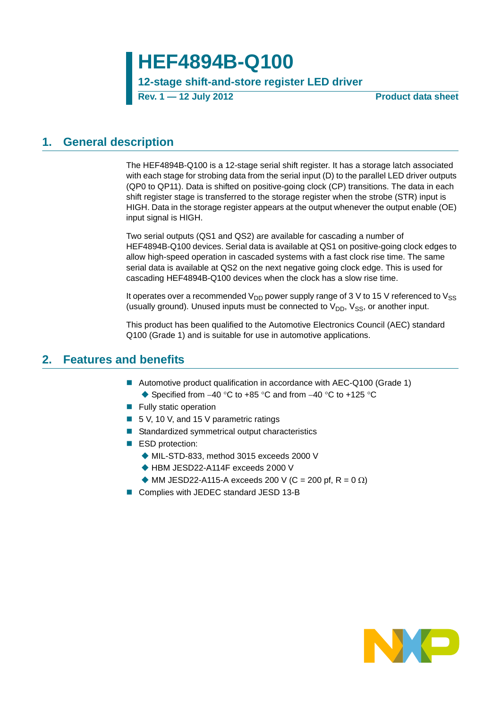# **HEF4894B-Q100**

## **12-stage shift-and-store register LED driver**

**Rev. 1 — 12 July 2012 Product data sheet**

## <span id="page-0-0"></span>**1. General description**

The HEF4894B-Q100 is a 12-stage serial shift register. It has a storage latch associated with each stage for strobing data from the serial input (D) to the parallel LED driver outputs (QP0 to QP11). Data is shifted on positive-going clock (CP) transitions. The data in each shift register stage is transferred to the storage register when the strobe (STR) input is HIGH. Data in the storage register appears at the output whenever the output enable (OE) input signal is HIGH.

Two serial outputs (QS1 and QS2) are available for cascading a number of HEF4894B-Q100 devices. Serial data is available at QS1 on positive-going clock edges to allow high-speed operation in cascaded systems with a fast clock rise time. The same serial data is available at QS2 on the next negative going clock edge. This is used for cascading HEF4894B-Q100 devices when the clock has a slow rise time.

It operates over a recommended  $V_{DD}$  power supply range of 3 V to 15 V referenced to  $V_{SS}$ (usually ground). Unused inputs must be connected to  $V_{DD}$ ,  $V_{SS}$ , or another input.

This product has been qualified to the Automotive Electronics Council (AEC) standard Q100 (Grade 1) and is suitable for use in automotive applications.

## <span id="page-0-1"></span>**2. Features and benefits**

- Automotive product qualification in accordance with AEC-Q100 (Grade 1)  $\triangle$  Specified from -40 °C to +85 °C and from -40 °C to +125 °C
- **Fully static operation**
- 5 V, 10 V, and 15 V parametric ratings
- Standardized symmetrical output characteristics
- ESD protection:
	- MIL-STD-833, method 3015 exceeds 2000 V
	- ◆ HBM JESD22-A114F exceeds 2000 V
	- $\blacklozenge$  MM JESD22-A115-A exceeds 200 V (C = 200 pf, R = 0  $\Omega$ )
- Complies with JEDEC standard JESD 13-B

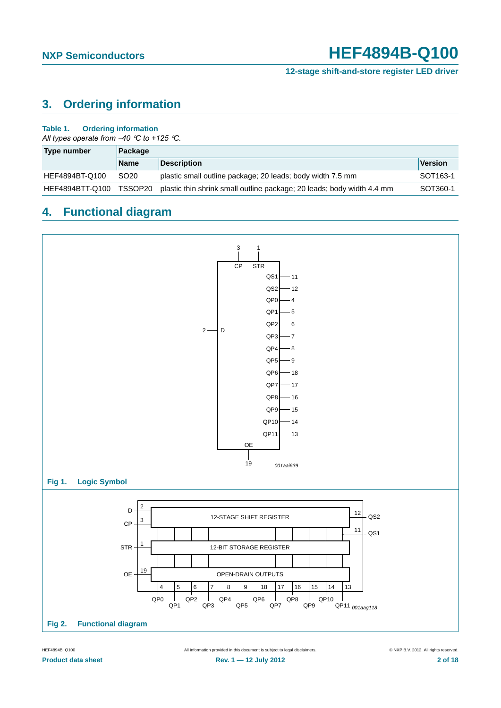**12-stage shift-and-store register LED driver**

## <span id="page-1-0"></span>**3. Ordering information**

### **Table 1. Ordering information**

*All types operate from 40 C to +125 C.*

| Type number     | Package          |                                                                        |                       |
|-----------------|------------------|------------------------------------------------------------------------|-----------------------|
|                 | <b>Name</b>      | <b>Description</b>                                                     | <b>Version</b>        |
| HEF4894BT-Q100  | SO <sub>20</sub> | plastic small outline package; 20 leads; body width 7.5 mm             | SOT <sub>163</sub> -1 |
| HEF4894BTT-Q100 | TSSOP20          | plastic thin shrink small outline package; 20 leads; body width 4.4 mm | SOT360-1              |

## <span id="page-1-1"></span>**4. Functional diagram**

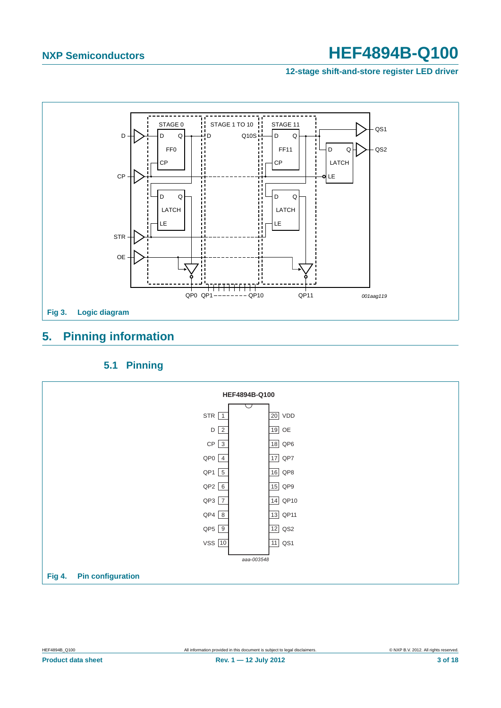**12-stage shift-and-store register LED driver**



## <span id="page-2-0"></span>**5. Pinning information**

## **5.1 Pinning**

<span id="page-2-1"></span>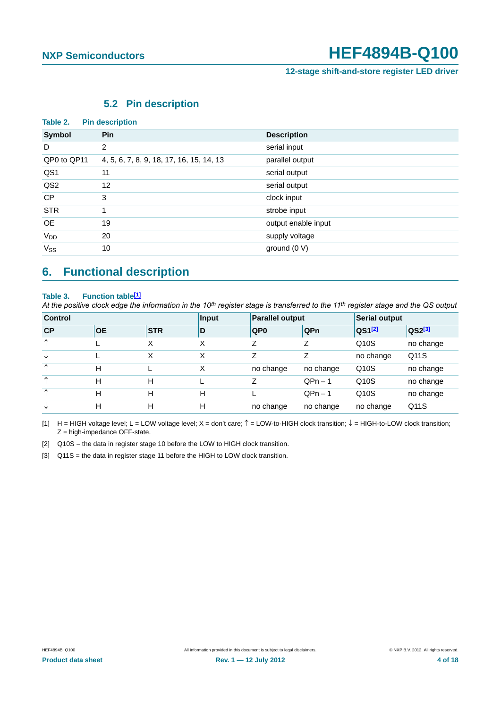**12-stage shift-and-store register LED driver**

## **5.2 Pin description**

<span id="page-3-3"></span>

| Table 2.        | <b>Pin description</b>                   |                     |
|-----------------|------------------------------------------|---------------------|
| Symbol          | <b>Pin</b>                               | <b>Description</b>  |
| D               | $\overline{2}$                           | serial input        |
| QP0 to QP11     | 4, 5, 6, 7, 8, 9, 18, 17, 16, 15, 14, 13 | parallel output     |
| QS1             | 11                                       | serial output       |
| QS <sub>2</sub> | 12                                       | serial output       |
| <b>CP</b>       | 3                                        | clock input         |
| <b>STR</b>      |                                          | strobe input        |
| <b>OE</b>       | 19                                       | output enable input |
| $V_{DD}$        | 20                                       | supply voltage      |
| $V_{SS}$        | 10                                       | ground (0 V)        |

## <span id="page-3-4"></span>**6. Functional description**

### Table 3. Function table<sup>[1]</sup>

*At the positive clock edge the information in the 10th register stage is transferred to the 11th register stage and the QS output*

| <b>Control</b> |           | Input      | <b>Parallel output</b> |                 | Serial output |                      |                    |
|----------------|-----------|------------|------------------------|-----------------|---------------|----------------------|--------------------|
| CP             | <b>OE</b> | <b>STR</b> | D                      | QP <sub>0</sub> | QPn           | $QS1$ <sup>[2]</sup> | QS2 <sup>[3]</sup> |
| $\uparrow$     |           | х          | Χ                      | Ζ               | 7             | Q10S                 | no change          |
| V              |           | X          | X                      | Z               |               | no change            | Q11S               |
| ᠰ              | н         |            | X                      | no change       | no change     | Q10S                 | no change          |
| $\uparrow$     | н         | H          |                        |                 | $QPn-1$       | Q10S                 | no change          |
| ᠰ              | н         | H          | н                      |                 | $QPn - 1$     | Q10S                 | no change          |
| V              | н         | H          | н                      | no change       | no change     | no change            | Q11S               |

<span id="page-3-0"></span>[1] H = HIGH voltage level; L = LOW voltage level; X = don't care;  $\hat{T}$  = LOW-to-HIGH clock transition;  $\hat{\psi}$  = HIGH-to-LOW clock transition;  $Z =$  high-impedance OFF-state.

<span id="page-3-1"></span>[2] Q10S = the data in register stage 10 before the LOW to HIGH clock transition.

<span id="page-3-2"></span>[3] Q11S = the data in register stage 11 before the HIGH to LOW clock transition.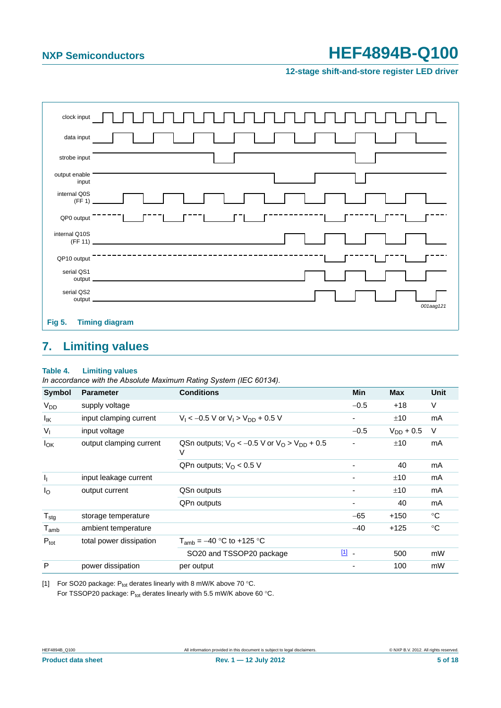**12-stage shift-and-store register LED driver**



## <span id="page-4-1"></span>**7. Limiting values**

### **Table 4. Limiting values**

*In accordance with the Absolute Maximum Rating System (IEC 60134).*

| <b>Symbol</b>          | <b>Parameter</b>        | <b>Conditions</b>                                                               | Min    | <b>Max</b>     | <b>Unit</b> |
|------------------------|-------------------------|---------------------------------------------------------------------------------|--------|----------------|-------------|
| <b>V<sub>DD</sub></b>  | supply voltage          |                                                                                 | $-0.5$ | $+18$          | V           |
| Ιĸ                     | input clamping current  | $V_1 < -0.5$ V or $V_1 > V_{DD} + 0.5$ V                                        |        | ±10            | mA          |
| $V_{I}$                | input voltage           |                                                                                 | $-0.5$ | $V_{DD}$ + 0.5 | V           |
| <b>I</b> <sub>OK</sub> | output clamping current | QSn outputs: $V_{\Omega}$ < -0.5 V or $V_{\Omega}$ > $V_{\text{DD}}$ + 0.5<br>V |        |                | mA          |
|                        |                         | QPn outputs; $VO < 0.5 V$                                                       |        | 40             | mA          |
| J <sub>I</sub>         | input leakage current   |                                                                                 |        | ±10            | mA          |
| Ιo                     | output current          | QSn outputs                                                                     |        | ±10            | mA          |
|                        |                         | QPn outputs                                                                     | ۰      | 40             | mA          |
| $T_{\text{stg}}$       | storage temperature     |                                                                                 | $-65$  | $+150$         | °C          |
| $T_{\mathsf{amb}}$     | ambient temperature     |                                                                                 | $-40$  | $+125$         | $^{\circ}C$ |
| $P_{\text{tot}}$       | total power dissipation | $T_{amb} = -40$ °C to +125 °C                                                   |        |                |             |
|                        |                         | SO20 and TSSOP20 package                                                        | $11 -$ | 500            | mW          |
| P                      | power dissipation       | per output                                                                      |        | 100            | mW          |

<span id="page-4-0"></span>[1] For SO20 package:  $P_{tot}$  derates linearly with 8 mW/K above 70 °C. For TSSOP20 package:  $P_{tot}$  derates linearly with 5.5 mW/K above 60 °C.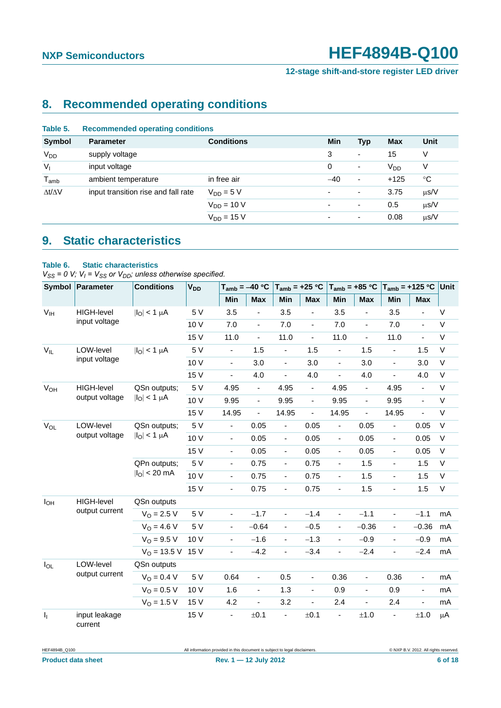**12-stage shift-and-store register LED driver**

# <span id="page-5-0"></span>**8. Recommended operating conditions**

| Table 5.            | <b>Recommended operating conditions</b> |                   |                          |                          |                       |           |  |  |  |
|---------------------|-----------------------------------------|-------------------|--------------------------|--------------------------|-----------------------|-----------|--|--|--|
| <b>Symbol</b>       | <b>Parameter</b>                        | <b>Conditions</b> | Min                      | <b>Typ</b>               | <b>Max</b>            | Unit      |  |  |  |
| V <sub>DD</sub>     | supply voltage                          |                   | 3                        | ۰                        | 15                    | V         |  |  |  |
| V <sub>1</sub>      | input voltage                           |                   | 0                        | $\overline{\phantom{a}}$ | <b>V<sub>DD</sub></b> | ٧         |  |  |  |
| $T_{\mathsf{amb}}$  | ambient temperature                     | in free air       | $-40$                    | $\overline{\phantom{a}}$ | $+125$                | °C        |  |  |  |
| $\Delta t/\Delta V$ | input transition rise and fall rate     | $V_{DD} = 5 V$    | ٠                        | ٠                        | 3.75                  | $\mu$ s/V |  |  |  |
|                     |                                         | $V_{DD} = 10 V$   | $\overline{\phantom{a}}$ | $\blacksquare$           | 0.5                   | $\mu$ s/V |  |  |  |
|                     |                                         | $V_{DD} = 15 V$   | $\overline{\phantom{a}}$ | $\overline{\phantom{0}}$ | 0.08                  | $\mu$ s/V |  |  |  |
|                     |                                         |                   |                          |                          |                       |           |  |  |  |

## <span id="page-5-1"></span>**9. Static characteristics**

### **Table 6. Static characteristics**

 $V_{SS}$  = 0 V;  $V_I$  =  $V_{SS}$  or  $V_{DD}$ ; unless otherwise specified.

| <b>Symbol</b>         | Parameter                | <b>Conditions</b>                             | <b>V<sub>DD</sub></b> | $T_{amb} = -40 °C$           |                          | $T_{amb} = +25 °C$       |                          | $T_{amb} = +85 °C$       |                              | $T_{amb} = +125 °C$          |                          | Unit        |
|-----------------------|--------------------------|-----------------------------------------------|-----------------------|------------------------------|--------------------------|--------------------------|--------------------------|--------------------------|------------------------------|------------------------------|--------------------------|-------------|
|                       |                          |                                               |                       | Min                          | Max                      | Min                      | <b>Max</b>               | Min                      | <b>Max</b>                   | Min                          | <b>Max</b>               |             |
| V <sub>IH</sub>       | <b>HIGH-level</b>        | $ I_O  < 1 \mu A$                             | 5 V                   | 3.5                          | $\blacksquare$           | 3.5                      | ÷,                       | 3.5                      | $\overline{\phantom{a}}$     | 3.5                          | $\overline{\phantom{a}}$ | $\sf V$     |
|                       | input voltage            |                                               | 10 V                  | 7.0                          | $\overline{\phantom{a}}$ | 7.0                      | $\overline{\phantom{a}}$ | 7.0                      | $\blacksquare$               | 7.0                          | $\blacksquare$           | $\sf V$     |
|                       |                          |                                               | 15 V                  | 11.0                         | $\blacksquare$           | 11.0                     | $\blacksquare$           | 11.0                     | ÷,                           | 11.0                         | $\blacksquare$           | $\sf V$     |
| $V_{IL}$              | LOW-level                | $ I_{\rm O}  < 1 \mu A$                       | 5 V                   | ÷,                           | 1.5                      | $\blacksquare$           | 1.5                      | ÷.                       | 1.5                          | $\blacksquare$               | 1.5                      | V           |
|                       | input voltage            |                                               | 10 V                  | $\blacksquare$               | 3.0                      | $\overline{a}$           | 3.0                      | $\blacksquare$           | 3.0                          | $\frac{1}{2}$                | 3.0                      | $\sf V$     |
|                       |                          |                                               | 15 V                  | $\blacksquare$               | 4.0                      | $\blacksquare$           | 4.0                      | $\blacksquare$           | 4.0                          | $\overline{\phantom{a}}$     | 4.0                      | $\sf V$     |
| <b>V<sub>OH</sub></b> | <b>HIGH-level</b>        | QSn outputs;                                  | 5 V                   | 4.95                         | $\overline{\phantom{a}}$ | 4.95                     | $\blacksquare$           | 4.95                     | $\blacksquare$               | 4.95                         | $\blacksquare$           | $\sf V$     |
|                       | output voltage           | $ I_{O}  < 1 \mu A$                           | 10 V                  | 9.95                         | $\blacksquare$           | 9.95                     | $\overline{\phantom{a}}$ | 9.95                     | $\blacksquare$               | 9.95                         | $\blacksquare$           | $\sf V$     |
|                       |                          |                                               | 15 V                  | 14.95                        | $\overline{\phantom{a}}$ | 14.95                    | $\blacksquare$           | 14.95                    | ÷,                           | 14.95                        | $\overline{\phantom{a}}$ | $\sf V$     |
| $V_{OL}$              | LOW-level                | QSn outputs;<br>$ I_{\rm O}  < 1 \mu A$       | 5 V                   | $\blacksquare$               | 0.05                     | $\blacksquare$           | 0.05                     | $\blacksquare$           | 0.05                         | $\frac{1}{2}$                | 0.05                     | $\sf V$     |
|                       | output voltage           |                                               | 10 V                  | $\blacksquare$               | 0.05                     | $\blacksquare$           | 0.05                     | $\blacksquare$           | 0.05                         | $\blacksquare$               | 0.05                     | V           |
|                       |                          |                                               | 15 V                  | $\blacksquare$               | 0.05                     | $\blacksquare$           | 0.05                     | $\blacksquare$           | 0.05                         | ÷,                           | 0.05                     | $\sf V$     |
|                       |                          | QPn outputs;<br>$ I_{\rm O}  < 20 \text{ mA}$ | 5 V                   | $\blacksquare$               | 0.75                     | $\blacksquare$           | 0.75                     | ÷,                       | 1.5                          | $\frac{1}{2}$                | 1.5                      | $\sf V$     |
|                       |                          |                                               | 10 V                  | $\blacksquare$               | 0.75                     | $\blacksquare$           | 0.75                     | $\overline{\phantom{0}}$ | 1.5                          | $\frac{1}{2}$                | 1.5                      | $\sf V$     |
|                       |                          |                                               | 15 V                  | $\overline{\phantom{a}}$     | 0.75                     | $\overline{\phantom{a}}$ | 0.75                     | $\overline{\phantom{a}}$ | 1.5                          | ÷,                           | 1.5                      | $\mathsf V$ |
| $I_{OH}$              | <b>HIGH-level</b>        | QSn outputs                                   |                       |                              |                          |                          |                          |                          |                              |                              |                          |             |
|                       | output current           | $V_{\Omega} = 2.5 V$                          | 5 V                   | $\blacksquare$               | $-1.7$                   | $\blacksquare$           | $-1.4$                   | $\blacksquare$           | $-1.1$                       | $\blacksquare$               | $-1.1$                   | mA          |
|                       |                          | $V_{\Omega} = 4.6 V$                          | 5 V                   | $\qquad \qquad \blacksquare$ | $-0.64$                  | $\blacksquare$           | $-0.5$                   | $\blacksquare$           | $-0.36$                      | $\blacksquare$               | $-0.36$                  | mA          |
|                       |                          | $V_{\Omega} = 9.5 V$                          | 10 V                  | ä,                           | $-1.6$                   | ä,                       | $-1.3$                   | ÷,                       | $-0.9$                       | $\overline{a}$               | $-0.9$                   | mA          |
|                       |                          | $V_{\Omega}$ = 13.5 V                         | 15 V                  | ÷,                           | $-4.2$                   | $\blacksquare$           | $-3.4$                   | $\blacksquare$           | $-2.4$                       | $\blacksquare$               | $-2.4$                   | mA          |
| $I_{OL}$              | LOW-level                | QSn outputs                                   |                       |                              |                          |                          |                          |                          |                              |                              |                          |             |
|                       | output current           | $V_O = 0.4 V$                                 | 5 V                   | 0.64                         | $\blacksquare$           | 0.5                      | $\blacksquare$           | 0.36                     | $\blacksquare$               | 0.36                         | $\Box$                   | mA          |
|                       |                          | $V_{O} = 0.5 V$                               | 10 V                  | 1.6                          | $\overline{\phantom{a}}$ | 1.3                      | $\blacksquare$           | 0.9                      | $\blacksquare$               | 0.9                          | $\blacksquare$           | mA          |
|                       |                          | $V_{O} = 1.5 V$                               | 15 V                  | 4.2                          | $\overline{\phantom{a}}$ | 3.2                      | $\frac{1}{2}$            | 2.4                      | $\qquad \qquad \blacksquare$ | 2.4                          | $\overline{\phantom{a}}$ | mA          |
| $I_1$                 | input leakage<br>current |                                               | 15 V                  | ÷,                           | ±0.1                     | $\blacksquare$           | ±0.1                     | $\blacksquare$           | $\pm 1.0$                    | $\qquad \qquad \blacksquare$ | $\pm 1.0$                | $\mu$ A     |

HEF4894B\_Q100 All information provided in this document is subject to legal disclaimers. © NXP B.V. 2012. All rights reserved.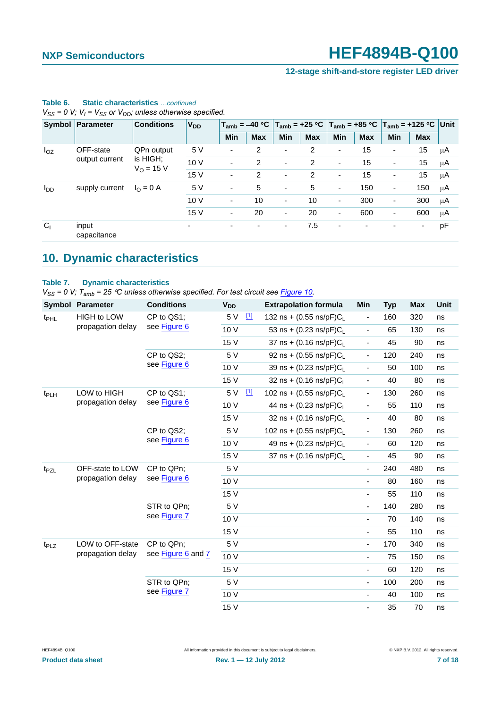**12-stage shift-and-store register LED driver**

|                | $\mathbf{v}_{SS}$ – 0 $\mathbf{v}, \mathbf{v}_{I}$ – $\mathbf{v}_{SS}$ or $\mathbf{v}_{DD}$ , anness onnerwise specified. |                    |                          |                          |                          |                          |                          |                          |                          |                                                                                                                      |            |    |  |
|----------------|---------------------------------------------------------------------------------------------------------------------------|--------------------|--------------------------|--------------------------|--------------------------|--------------------------|--------------------------|--------------------------|--------------------------|----------------------------------------------------------------------------------------------------------------------|------------|----|--|
|                | Symbol Parameter                                                                                                          | <b>Conditions</b>  | <b>V<sub>DD</sub></b>    |                          |                          |                          |                          |                          |                          | $T_{\text{amb}}$ = –40 °C $ T_{\text{amb}}$ = +25 °C $ T_{\text{amb}}$ = +85 °C $ T_{\text{amb}}$ = +125 °C $ $ Unit |            |    |  |
|                |                                                                                                                           |                    |                          | <b>Min</b>               | <b>Max</b>               | <b>Min</b>               | <b>Max</b>               | <b>Min</b>               | <b>Max</b>               | <b>Min</b>                                                                                                           | <b>Max</b> |    |  |
| $I_{OZ}$       | OFF-state                                                                                                                 | QPn output         | 5 V                      | $\overline{\phantom{0}}$ | 2                        | $\overline{\phantom{a}}$ | 2                        | ٠                        | 15                       | ٠                                                                                                                    | 15         | μA |  |
| output current | is HIGH:<br>$V_0 = 15 V$                                                                                                  | 10V                | $\blacksquare$           | 2                        | $\overline{\phantom{a}}$ | $\overline{2}$           | $\overline{\phantom{a}}$ | 15                       | $\overline{\phantom{a}}$ | 15                                                                                                                   | μA         |    |  |
|                |                                                                                                                           | 15 V               | $\overline{\phantom{0}}$ | 2                        | $\overline{\phantom{a}}$ | 2                        | $\overline{\phantom{a}}$ | 15                       | $\overline{\phantom{a}}$ | 15                                                                                                                   | μA         |    |  |
| $I_{DD}$       | supply current                                                                                                            | $I_{\Omega} = 0$ A | 5V                       | $\overline{\phantom{0}}$ | 5                        | $\overline{\phantom{a}}$ | 5                        | $\overline{\phantom{a}}$ | 150                      | ۰                                                                                                                    | 150        | μA |  |
|                |                                                                                                                           |                    | 10V                      | -                        | 10                       | ٠                        | 10                       | $\overline{\phantom{a}}$ | 300                      | $\overline{\phantom{a}}$                                                                                             | 300        | μA |  |
|                |                                                                                                                           |                    | 15 V                     | ۰                        | 20                       | $\blacksquare$           | 20                       | ٠                        | 600                      | ٠                                                                                                                    | 600        | μA |  |
| C <sub>1</sub> | input<br>capacitance                                                                                                      |                    | $\overline{\phantom{a}}$ | ۰                        | ۰                        | ۰.                       | 7.5                      | $\blacksquare$           | ٠                        | $\overline{\phantom{0}}$                                                                                             | ۰.         | pF |  |

## **Table 6. Static characteristics** *…continued*

 $V_{\text{SS}} = 0$  *V; V<sub>I</sub>* =  $V_{\text{SS}}$  or  $V_{\text{DD}}$ ; unless otherwise specified.

# <span id="page-6-0"></span>**10. Dynamic characteristics**

### **Table 7. Dynamic characteristics**

*VSS = 0 V; Tamb = 25 C unless otherwise specified. For test circuit see [Figure 10](#page-10-0).*

|                  | <b>Symbol Parameter</b> | <b>Conditions</b>          | <b>V<sub>DD</sub></b> |                                   | <b>Extrapolation formula</b>         | Min                          | <b>Typ</b> | <b>Max</b> | <b>Unit</b> |
|------------------|-------------------------|----------------------------|-----------------------|-----------------------------------|--------------------------------------|------------------------------|------------|------------|-------------|
| t <sub>PHL</sub> | HIGH to LOW             | CP to QS1;                 | 5 V                   | $\boxed{1}$                       | 132 ns + $(0.55 \text{ ns/pF})C_L$   | -                            | 160        | 320        | ns          |
|                  | propagation delay       | see Figure 6               | 10 V                  |                                   | 53 ns + $(0.23 \text{ ns/pF})C_L$    | $\qquad \qquad \blacksquare$ | 65         | 130        | ns          |
|                  |                         |                            | 15 V                  |                                   | $37$ ns + (0.16 ns/pF)C <sub>1</sub> | $\qquad \qquad \blacksquare$ | 45         | 90         | ns          |
|                  |                         | CP to QS2;<br>see Figure 6 | 5 V                   |                                   | 92 ns + (0.55 ns/pF) $C_L$           | $\qquad \qquad \blacksquare$ | 120        | 240        | ns          |
|                  |                         |                            | 10 V                  |                                   | 39 ns + (0.23 ns/pF)CL               | $\qquad \qquad \blacksquare$ | 50         | 100        | ns          |
|                  |                         |                            | 15 V                  |                                   | 32 ns + $(0.16 \text{ ns/pF})C_1$    | $\qquad \qquad \blacksquare$ | 40         | 80         | ns          |
| t <sub>PLH</sub> | LOW to HIGH             | CP to QS1;                 | 5 V                   | $\boxed{1}$                       | 102 ns + $(0.55 \text{ ns/pF})C_1$   | $\qquad \qquad \blacksquare$ | 130        | 260        | ns          |
|                  | propagation delay       | see Figure 6               | 10 V                  |                                   | 44 ns + (0.23 ns/pF)CL               | $\qquad \qquad \blacksquare$ | 55         | 110        | ns          |
|                  |                         | 15 V                       |                       | 32 ns + $(0.16 \text{ ns/pF})C_L$ | $\qquad \qquad \blacksquare$         | 40                           | 80         | ns         |             |
|                  |                         | CP to QS2;<br>see Figure 6 | 5 V                   |                                   | 102 ns + $(0.55 \text{ ns/pF})C_1$   | $\qquad \qquad \blacksquare$ | 130        | 260        | ns          |
|                  |                         |                            | 10 V                  |                                   | 49 ns + $(0.23 \text{ ns/pF})C_1$    | $\overline{\phantom{a}}$     | 60         | 120        | ns          |
|                  |                         |                            | 15 V                  |                                   | $37$ ns + (0.16 ns/pF)C <sub>1</sub> | $\qquad \qquad \blacksquare$ | 45         | 90         | ns          |
| t <sub>PZL</sub> | OFF-state to LOW        | CP to QPn;<br>see Figure 6 | 5 V                   |                                   |                                      | $\overline{\phantom{a}}$     | 240        | 480        | ns          |
|                  | propagation delay       |                            | 10 V                  |                                   |                                      | $\overline{\phantom{a}}$     | 80         | 160        | ns          |
|                  |                         |                            | 15 V                  |                                   |                                      | $\overline{\phantom{a}}$     | 55         | 110        | ns          |
|                  |                         | STR to QPn;                | 5 V                   |                                   |                                      | $\overline{\phantom{a}}$     | 140        | 280        | ns          |
|                  |                         | see Figure 7               | 10 V                  |                                   |                                      | ä,                           | 70         | 140        | ns          |
|                  |                         |                            | 15 V                  |                                   |                                      | $\overline{\phantom{a}}$     | 55         | 110        | ns          |
| t <sub>PLZ</sub> | LOW to OFF-state        | CP to QPn;                 | 5 V                   |                                   |                                      | $\frac{1}{2}$                | 170        | 340        | ns          |
|                  | propagation delay       | see Figure 6 and 7         | 10 V                  |                                   |                                      | $\overline{\phantom{a}}$     | 75         | 150        | ns          |
|                  |                         |                            | 15 V                  |                                   |                                      | $\frac{1}{2}$                | 60         | 120        | ns          |
|                  |                         | STR to QPn;                | 5 V                   |                                   |                                      | $\overline{\phantom{a}}$     | 100        | 200        | ns          |
|                  |                         | see Figure 7               | 10 V                  |                                   |                                      | ÷,                           | 40         | 100        | ns          |
|                  |                         |                            | 15 V                  |                                   |                                      | ä,                           | 35         | 70         | ns          |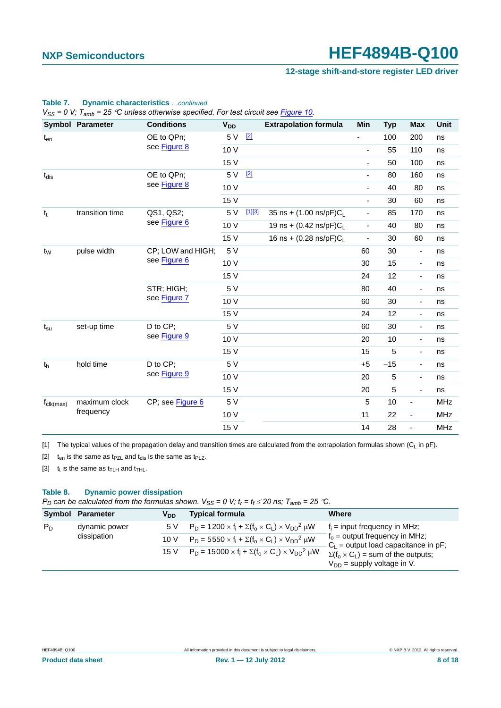### **12-stage shift-and-store register LED driver**

|                              | <b>Symbol Parameter</b> | <b>Conditions</b>                 | <b>V<sub>DD</sub></b> |                                   | <b>Extrapolation formula</b> | Min                      | <b>Typ</b> | <b>Max</b>               | <b>Unit</b> |
|------------------------------|-------------------------|-----------------------------------|-----------------------|-----------------------------------|------------------------------|--------------------------|------------|--------------------------|-------------|
| $t_{en}$                     |                         | OE to QPn;                        | 5 V                   | $[2]$                             |                              |                          | 100        | 200                      | ns          |
|                              |                         | see Figure 8                      | 10 V                  |                                   |                              | $\overline{\phantom{a}}$ | 55         | 110                      | ns          |
|                              |                         |                                   | 15 V                  |                                   |                              | $\blacksquare$           | 50         | 100                      | ns          |
| $t_{dis}$                    |                         | OE to QPn;                        | 5 V                   | $[2]$                             |                              | $\overline{\phantom{a}}$ | 80         | 160                      | ns          |
|                              |                         | see Figure 8                      | 10 V                  |                                   |                              | $\overline{\phantom{a}}$ | 40         | 80                       | ns          |
|                              |                         |                                   | 15 V                  |                                   |                              | $\overline{\phantom{a}}$ | 30         | 60                       | ns          |
| $t_t$                        | transition time         | QS1, QS2;                         | 5 V                   | [1][3]                            | 35 ns + (1.00 ns/pF)CL       | $\overline{\phantom{a}}$ | 85         | 170                      | ns          |
|                              | see Figure 6            | 10 V                              |                       | 19 ns + $(0.42 \text{ ns/pF})C_1$ | $\blacksquare$               | 40                       | 80         | ns                       |             |
|                              |                         | 15 V                              |                       | 16 ns + $(0.28 \text{ ns/pF})C_1$ | $\blacksquare$               | 30                       | 60         | ns                       |             |
| pulse width<br>$t_W$         |                         | CP; LOW and HIGH;<br>see Figure 6 | 5 V                   |                                   |                              | 60                       | 30         | $\overline{\phantom{a}}$ | ns          |
|                              |                         |                                   | 10 V                  |                                   |                              | 30                       | 15         | $\overline{\phantom{a}}$ | ns          |
|                              |                         |                                   | 15 V                  |                                   |                              | 24                       | 12         | $\blacksquare$           | ns          |
|                              |                         | STR; HIGH;<br>see Figure 7        | 5 V                   |                                   |                              | 80                       | 40         | $\blacksquare$           | ns          |
|                              |                         |                                   | 10 V                  |                                   |                              | 60                       | 30         | $\overline{\phantom{a}}$ | ns          |
|                              |                         |                                   | 15 V                  |                                   |                              | 24                       | 12         | $\overline{\phantom{a}}$ | ns          |
| $t_{\rm su}$                 | set-up time             | D to CP;                          | 5 V                   |                                   |                              | 60                       | 30         | $\overline{\phantom{a}}$ | ns          |
|                              |                         | see Figure 9                      | 10 V                  |                                   |                              | 20                       | 10         | $\overline{\phantom{a}}$ | ns          |
|                              |                         |                                   | 15 V                  |                                   |                              | 15                       | 5          | $\overline{\phantom{a}}$ | ns          |
| t <sub>h</sub>               | hold time               | D to CP;                          | 5 V                   |                                   |                              | $+5$                     | $-15$      | $\overline{\phantom{a}}$ | ns          |
|                              |                         | see Figure 9                      | 10 V                  |                                   |                              | 20                       | 5          | $\overline{\phantom{a}}$ | ns          |
|                              |                         |                                   | 15 V                  |                                   |                              | 20                       | 5          | $\blacksquare$           | ns          |
| $f_{\text{clk}(\text{max})}$ | maximum clock           | CP; see Figure 6                  | 5 V                   |                                   |                              | 5                        | 10         | $\overline{\phantom{a}}$ | <b>MHz</b>  |
|                              | frequency               |                                   | 10 V                  |                                   |                              | 11                       | 22         | $\overline{\phantom{a}}$ | <b>MHz</b>  |
|                              |                         |                                   | 15 V                  |                                   |                              | 14                       | 28         | $\overline{\phantom{a}}$ | <b>MHz</b>  |

# **Table 7. Dynamic characteristics** *…continued*

*VSS = 0 V; Tamb = 25 C unless otherwise specified. For test circuit see Figure 10.*

<span id="page-7-0"></span>[1] The typical values of the propagation delay and transition times are calculated from the extrapolation formulas shown ( $C_L$  in pF).

<span id="page-7-1"></span>[2]  $t_{en}$  is the same as  $t_{PZL}$  and  $t_{dis}$  is the same as  $t_{PLZ}$ .

<span id="page-7-2"></span>[3]  $t_t$  is the same as  $t_{\text{TLH}}$  and  $t_{\text{THL}}$ .

### **Table 8. Dynamic power dissipation**

*P<sub>D</sub>* can be calculated from the formulas shown.  $V_{SS} = 0$  V;  $t_r = t_f \le 20$  ns;  $T_{amb} = 25$  °C.

|       | Symbol Parameter | V <sub>DD</sub> | <b>Typical formula</b>                                                  | Where                                                                             |
|-------|------------------|-----------------|-------------------------------------------------------------------------|-----------------------------------------------------------------------------------|
| $P_D$ | dynamic power    | 5 V             | $P_D = 1200 \times f_i + \Sigma(f_0 \times C_1) \times V_{DD}^2 \mu W$  | $f_i$ = input frequency in MHz;                                                   |
|       | dissipation      | 10V             | $P_D = 5550 \times f_i + \Sigma(f_0 \times C_1) \times V_{DD}^2 \mu W$  | $f_0$ = output frequency in MHz;<br>$C_L$ = output load capacitance in pF;        |
|       |                  | 15 V            | $P_D = 15000 \times f_i + \Sigma(f_0 \times C_1) \times V_{DD}^2 \mu W$ | $\Sigma(f_0 \times C_1)$ = sum of the outputs;<br>$V_{DD}$ = supply voltage in V. |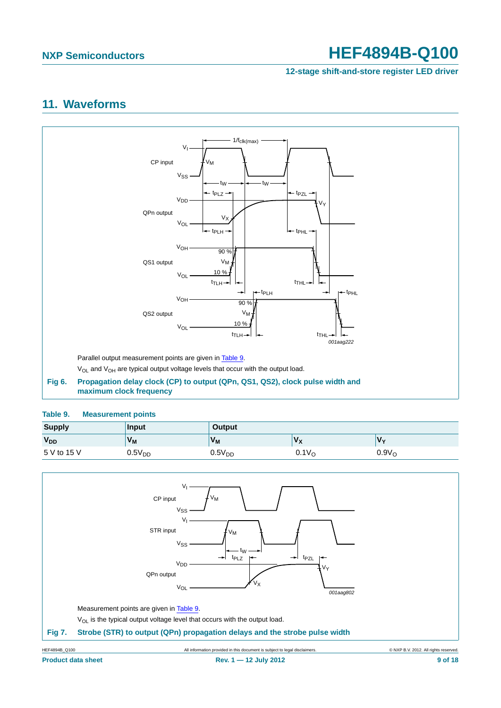**12-stage shift-and-store register LED driver**

## <span id="page-8-3"></span>**11. Waveforms**



### <span id="page-8-2"></span><span id="page-8-0"></span>**Table 9. Measurement points**

| <b>Supply</b>         | Input              | Output             |                   |                   |
|-----------------------|--------------------|--------------------|-------------------|-------------------|
| <b>V<sub>DD</sub></b> | $V_M$              | $V_M$              | vχ                | $\mathbf{v}$      |
| 5 V to 15 V           | 0.5V <sub>DD</sub> | 0.5V <sub>DD</sub> | 0.1V <sub>O</sub> | 0.9V <sub>O</sub> |

<span id="page-8-1"></span>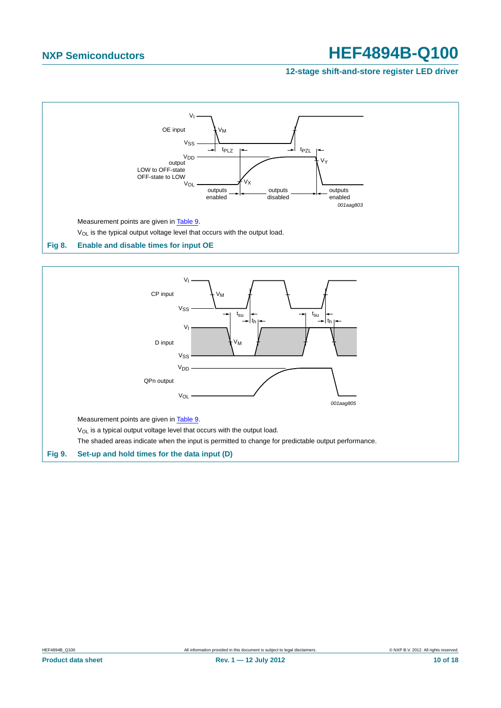### **12-stage shift-and-store register LED driver**



<span id="page-9-1"></span><span id="page-9-0"></span>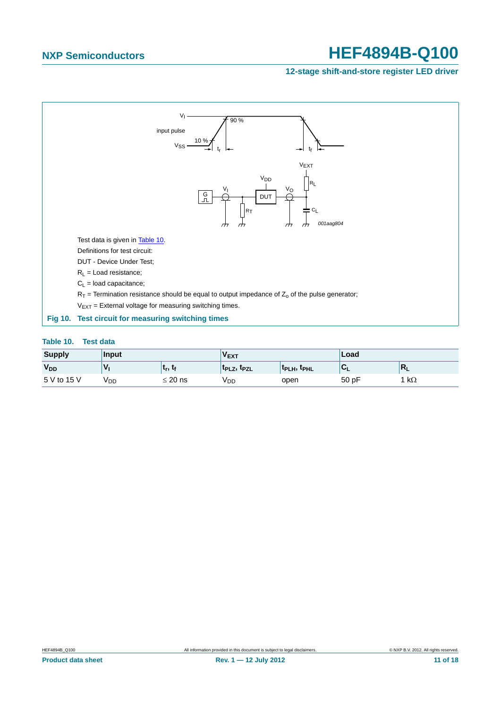### **12-stage shift-and-store register LED driver**



### <span id="page-10-1"></span><span id="page-10-0"></span>**Table 10. Test data**

| <b>Supply</b>         | Input |                                   | <b>VEXT</b>                         |                                             | Load  |                |
|-----------------------|-------|-----------------------------------|-------------------------------------|---------------------------------------------|-------|----------------|
| <b>V<sub>DD</sub></b> |       | լ ւ <sub>r</sub> , ւ <sub>f</sub> | t <sub>PLZ</sub> , t <sub>PZL</sub> | $\parallel$ t $_{\rm PLH}$ , t $_{\rm PHL}$ |       | $\blacksquare$ |
| 5 V to 15 V           | V DD  | $\leq$ 20 ns                      | VDD                                 | open                                        | 50 pF | 1 k $\Omega$   |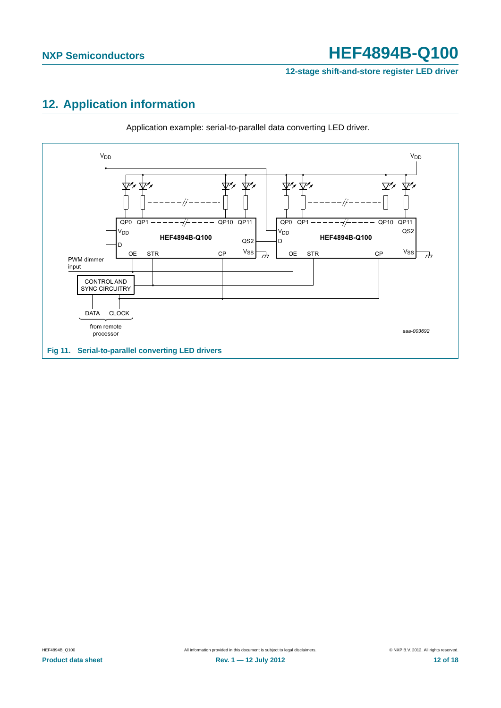**12-stage shift-and-store register LED driver**

# <span id="page-11-0"></span>**12. Application information**



Application example: serial-to-parallel data converting LED driver.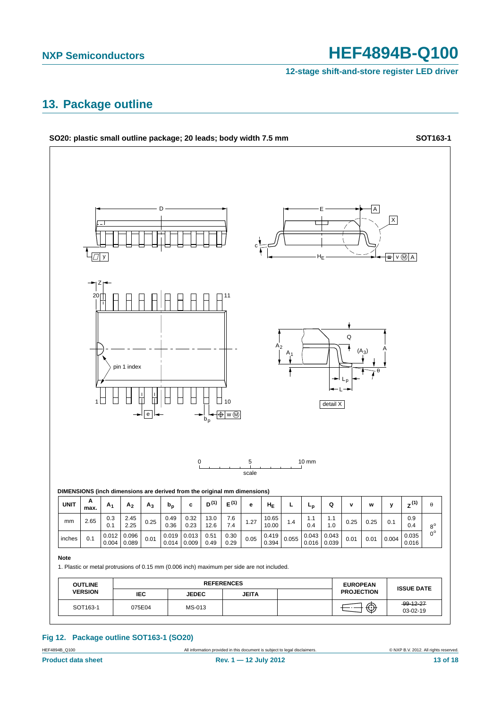**12-stage shift-and-store register LED driver**

## <span id="page-12-0"></span>**13. Package outline**



### **Fig 12. Package outline SOT163-1 (SO20)**

HEF4894B\_Q100 **All information provided in this document is subject to legal disclaimers. EXP B.V. 2012. All rights reserved.**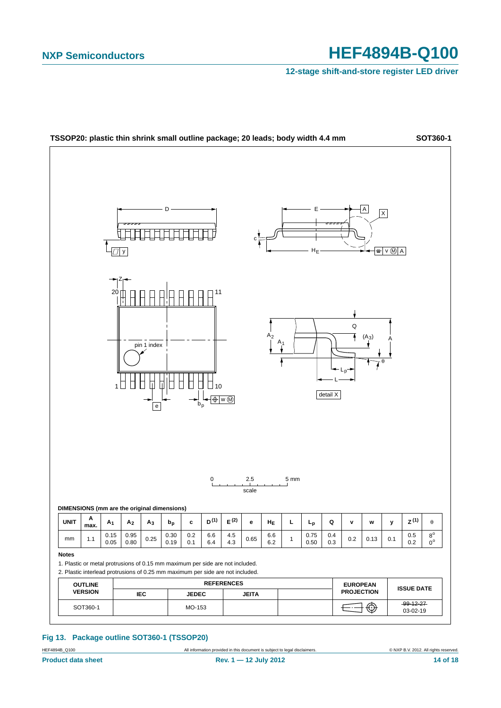**12-stage shift-and-store register LED driver**



### **Fig 13. Package outline SOT360-1 (TSSOP20)**

HEF4894B\_Q100 **All information provided in this document is subject to legal disclaimers. EXP B.V. 2012. All rights reserved.**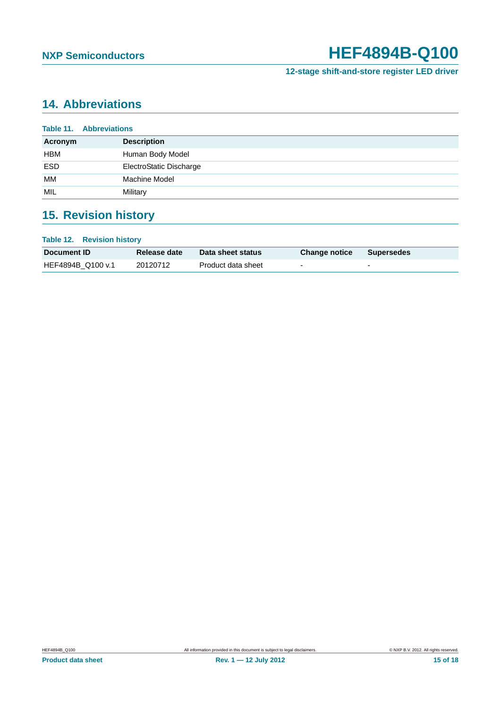**12-stage shift-and-store register LED driver**

# <span id="page-14-0"></span>**14. Abbreviations**

| <b>Table 11. Abbreviations</b> |                         |  |
|--------------------------------|-------------------------|--|
| Acronym                        | <b>Description</b>      |  |
| <b>HBM</b>                     | Human Body Model        |  |
| <b>ESD</b>                     | ElectroStatic Discharge |  |
| MМ                             | Machine Model           |  |
| MIL                            | Military                |  |

# <span id="page-14-1"></span>**15. Revision history**

| <b>Table 12. Revision history</b> |                     |                    |                          |                          |  |  |
|-----------------------------------|---------------------|--------------------|--------------------------|--------------------------|--|--|
| <b>Document ID</b>                | <b>Release date</b> | Data sheet status  | <b>Change notice</b>     | <b>Supersedes</b>        |  |  |
| HEF4894B Q100 v.1                 | 20120712            | Product data sheet | $\overline{\phantom{0}}$ | $\overline{\phantom{a}}$ |  |  |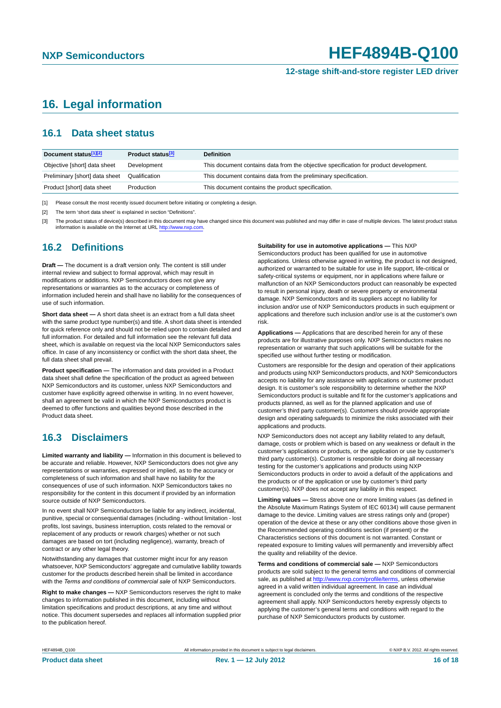### **12-stage shift-and-store register LED driver**

## <span id="page-15-0"></span>**16. Legal information**

## <span id="page-15-1"></span>**16.1 Data sheet status**

| Document status[1][2]          | Product status <sup>[3]</sup> | <b>Definition</b>                                                                     |
|--------------------------------|-------------------------------|---------------------------------------------------------------------------------------|
| Objective [short] data sheet   | Development                   | This document contains data from the objective specification for product development. |
| Preliminary [short] data sheet | Qualification                 | This document contains data from the preliminary specification.                       |
| Product [short] data sheet     | Production                    | This document contains the product specification.                                     |

[1] Please consult the most recently issued document before initiating or completing a design.

[2] The term 'short data sheet' is explained in section "Definitions".

[3] The product status of device(s) described in this document may have changed since this document was published and may differ in case of multiple devices. The latest product status<br>information is available on the Intern

## <span id="page-15-2"></span>**16.2 Definitions**

**Draft —** The document is a draft version only. The content is still under internal review and subject to formal approval, which may result in modifications or additions. NXP Semiconductors does not give any representations or warranties as to the accuracy or completeness of information included herein and shall have no liability for the consequences of use of such information.

**Short data sheet —** A short data sheet is an extract from a full data sheet with the same product type number(s) and title. A short data sheet is intended for quick reference only and should not be relied upon to contain detailed and full information. For detailed and full information see the relevant full data sheet, which is available on request via the local NXP Semiconductors sales office. In case of any inconsistency or conflict with the short data sheet, the full data sheet shall prevail.

**Product specification —** The information and data provided in a Product data sheet shall define the specification of the product as agreed between NXP Semiconductors and its customer, unless NXP Semiconductors and customer have explicitly agreed otherwise in writing. In no event however, shall an agreement be valid in which the NXP Semiconductors product is deemed to offer functions and qualities beyond those described in the Product data sheet.

## <span id="page-15-3"></span>**16.3 Disclaimers**

**Limited warranty and liability —** Information in this document is believed to be accurate and reliable. However, NXP Semiconductors does not give any representations or warranties, expressed or implied, as to the accuracy or completeness of such information and shall have no liability for the consequences of use of such information. NXP Semiconductors takes no responsibility for the content in this document if provided by an information source outside of NXP Semiconductors.

In no event shall NXP Semiconductors be liable for any indirect, incidental, punitive, special or consequential damages (including - without limitation - lost profits, lost savings, business interruption, costs related to the removal or replacement of any products or rework charges) whether or not such damages are based on tort (including negligence), warranty, breach of contract or any other legal theory.

Notwithstanding any damages that customer might incur for any reason whatsoever, NXP Semiconductors' aggregate and cumulative liability towards customer for the products described herein shall be limited in accordance with the *Terms and conditions of commercial sale* of NXP Semiconductors.

**Right to make changes —** NXP Semiconductors reserves the right to make changes to information published in this document, including without limitation specifications and product descriptions, at any time and without notice. This document supersedes and replaces all information supplied prior to the publication hereof.

### **Suitability for use in automotive applications —** This NXP

Semiconductors product has been qualified for use in automotive applications. Unless otherwise agreed in writing, the product is not designed, authorized or warranted to be suitable for use in life support, life-critical or safety-critical systems or equipment, nor in applications where failure or malfunction of an NXP Semiconductors product can reasonably be expected to result in personal injury, death or severe property or environmental damage. NXP Semiconductors and its suppliers accept no liability for inclusion and/or use of NXP Semiconductors products in such equipment or applications and therefore such inclusion and/or use is at the customer's own risk.

**Applications —** Applications that are described herein for any of these products are for illustrative purposes only. NXP Semiconductors makes no representation or warranty that such applications will be suitable for the specified use without further testing or modification.

Customers are responsible for the design and operation of their applications and products using NXP Semiconductors products, and NXP Semiconductors accepts no liability for any assistance with applications or customer product design. It is customer's sole responsibility to determine whether the NXP Semiconductors product is suitable and fit for the customer's applications and products planned, as well as for the planned application and use of customer's third party customer(s). Customers should provide appropriate design and operating safeguards to minimize the risks associated with their applications and products.

NXP Semiconductors does not accept any liability related to any default, damage, costs or problem which is based on any weakness or default in the customer's applications or products, or the application or use by customer's third party customer(s). Customer is responsible for doing all necessary testing for the customer's applications and products using NXP Semiconductors products in order to avoid a default of the applications and the products or of the application or use by customer's third party customer(s). NXP does not accept any liability in this respect.

**Limiting values —** Stress above one or more limiting values (as defined in the Absolute Maximum Ratings System of IEC 60134) will cause permanent damage to the device. Limiting values are stress ratings only and (proper) operation of the device at these or any other conditions above those given in the Recommended operating conditions section (if present) or the Characteristics sections of this document is not warranted. Constant or repeated exposure to limiting values will permanently and irreversibly affect the quality and reliability of the device.

**Terms and conditions of commercial sale —** NXP Semiconductors products are sold subject to the general terms and conditions of commercial sale, as published at<http://www.nxp.com/profile/terms>, unless otherwise agreed in a valid written individual agreement. In case an individual agreement is concluded only the terms and conditions of the respective agreement shall apply. NXP Semiconductors hereby expressly objects to applying the customer's general terms and conditions with regard to the purchase of NXP Semiconductors products by customer.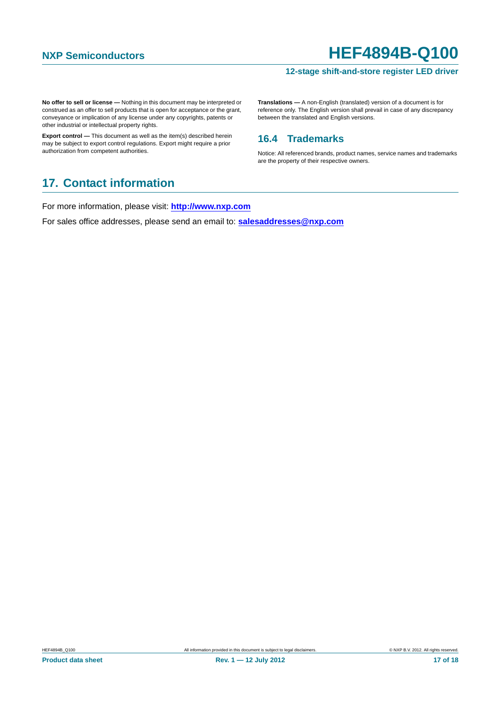### **12-stage shift-and-store register LED driver**

**No offer to sell or license —** Nothing in this document may be interpreted or construed as an offer to sell products that is open for acceptance or the grant, conveyance or implication of any license under any copyrights, patents or other industrial or intellectual property rights.

**Export control —** This document as well as the item(s) described herein may be subject to export control regulations. Export might require a prior authorization from competent authorities.

**Translations —** A non-English (translated) version of a document is for reference only. The English version shall prevail in case of any discrepancy between the translated and English versions.

## <span id="page-16-0"></span>**16.4 Trademarks**

Notice: All referenced brands, product names, service names and trademarks are the property of their respective owners.

## <span id="page-16-1"></span>**17. Contact information**

For more information, please visit: **http://www.nxp.com**

For sales office addresses, please send an email to: **salesaddresses@nxp.com**